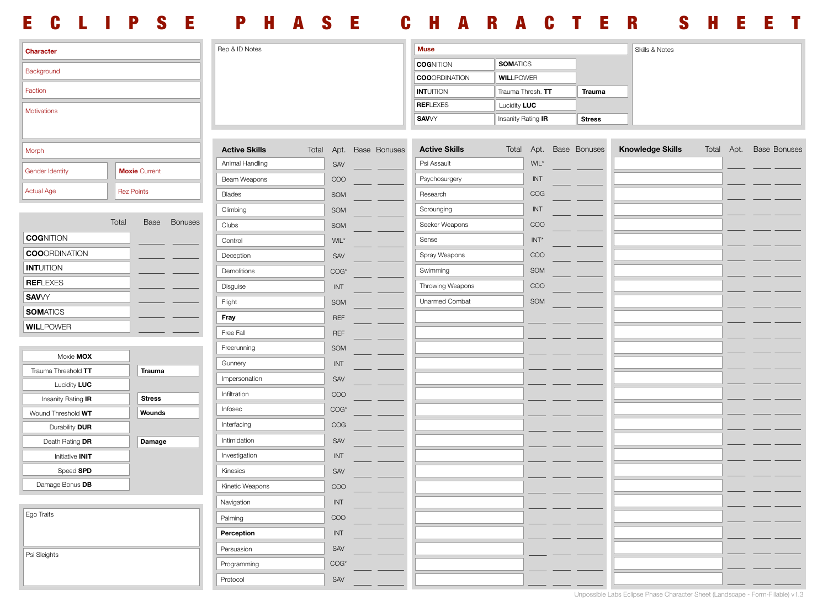## ECLIPSE PHASE CHARACTER SHEET

| Character                          |                   |                      | Rep & ID Notes       |                 |     | <b>Muse</b>             |                      |                      |                    |                   |               | Skills & Notes |                         |       |      |  |                     |  |
|------------------------------------|-------------------|----------------------|----------------------|-----------------|-----|-------------------------|----------------------|----------------------|--------------------|-------------------|---------------|----------------|-------------------------|-------|------|--|---------------------|--|
|                                    |                   |                      |                      |                 |     |                         | <b>COGNITION</b>     | <b>SOMATICS</b>      |                    |                   |               |                |                         |       |      |  |                     |  |
| Background                         |                   |                      |                      |                 |     |                         |                      | <b>COOORDINATION</b> | <b>WILLPOWER</b>   |                   |               |                |                         |       |      |  |                     |  |
| Faction                            |                   |                      |                      |                 |     |                         |                      | <b>INTUITION</b>     |                    | Trauma Thresh. TT |               | Trauma         |                         |       |      |  |                     |  |
| Motivations                        |                   |                      |                      |                 |     |                         |                      | <b>REFLEXES</b>      | Lucidity LUC       |                   |               |                |                         |       |      |  |                     |  |
|                                    |                   |                      |                      |                 |     |                         | <b>SAV</b> /Y        |                      | Insanity Rating IR |                   | <b>Stress</b> |                |                         |       |      |  |                     |  |
|                                    |                   |                      |                      |                 |     |                         |                      |                      |                    |                   |               |                |                         |       |      |  |                     |  |
| Morph                              |                   |                      | <b>Active Skills</b> |                 |     | Total Apt. Base Bonuses | <b>Active Skills</b> | Total                | Apt.               |                   | Base Bonuses  |                | <b>Knowledge Skills</b> | Total | Apt. |  | <b>Base Bonuses</b> |  |
| Gender Identity                    |                   | <b>Moxie Current</b> |                      | Animal Handling |     | SAV                     |                      | Psi Assault          |                    | WIL*              |               |                |                         |       |      |  |                     |  |
|                                    |                   |                      |                      | Beam Weapons    |     | COO                     |                      | Psychosurgery        |                    | $\sf{INT}$        |               |                |                         |       |      |  |                     |  |
| <b>Actual Age</b>                  | <b>Rez Points</b> |                      |                      | <b>Blades</b>   |     | SOM                     |                      | Research             |                    | COG               |               |                |                         |       |      |  |                     |  |
|                                    |                   |                      |                      | Climbing        |     | SOM                     |                      | Scrounging           |                    | $\sf{INT}$        |               |                |                         |       |      |  |                     |  |
|                                    | Total             | Base                 | <b>Bonuses</b>       | Clubs           |     | SOM                     |                      | Seeker Weapons       |                    | COO               |               |                |                         |       |      |  |                     |  |
| <b>COGNITION</b>                   |                   |                      |                      | Control         |     | $\text{WIL}^\star$      |                      | Sense                |                    | $INT*$            |               |                |                         |       |      |  |                     |  |
| <b>COOORDINATION</b>               |                   |                      |                      | Deception       |     | SAV                     |                      | Spray Weapons        |                    | COO               |               |                |                         |       |      |  |                     |  |
| <b>INTUITION</b>                   |                   |                      |                      | Demolitions     |     | COG*                    |                      | Swimming             |                    | SOM               |               |                |                         |       |      |  |                     |  |
| <b>REFLEXES</b>                    |                   |                      |                      | Disguise        |     | INT                     |                      | Throwing Weapons     |                    | COO               |               |                |                         |       |      |  |                     |  |
| <b>SAV</b> VY                      |                   |                      |                      | Flight          |     | SOM                     |                      | Unarmed Combat       |                    | SOM               |               |                |                         |       |      |  |                     |  |
| <b>SOMATICS</b>                    |                   |                      |                      | Fray            |     | <b>REF</b>              |                      |                      |                    |                   |               |                |                         |       |      |  |                     |  |
| <b>WILLPOWER</b>                   |                   |                      |                      | Free Fall       |     | <b>REF</b>              |                      |                      |                    |                   |               |                |                         |       |      |  |                     |  |
|                                    |                   |                      |                      | Freerunning     |     | SOM                     |                      |                      |                    |                   |               |                |                         |       |      |  |                     |  |
| Moxie MOX                          |                   |                      |                      | Gunnery         |     | INT                     |                      |                      |                    |                   |               |                |                         |       |      |  |                     |  |
| Trauma Threshold TT                |                   | Trauma               |                      | Impersonation   |     | SAV                     |                      |                      |                    |                   |               |                |                         |       |      |  |                     |  |
| Lucidity LUC                       |                   |                      |                      | Infiltration    |     | COO                     |                      |                      |                    |                   |               |                |                         |       |      |  |                     |  |
| Insanity Rating IR                 |                   | <b>Stress</b>        |                      | Infosec         |     | COG*                    |                      |                      |                    |                   |               |                |                         |       |      |  |                     |  |
| Wound Threshold WT                 |                   | Wounds               |                      | Interfacing     |     | COG                     |                      |                      |                    |                   |               |                |                         |       |      |  |                     |  |
| Durability DUR                     |                   |                      |                      | Intimidation    |     | SAV                     |                      |                      |                    |                   |               |                |                         |       |      |  |                     |  |
| Death Rating DR<br>Initiative INIT |                   | Damage               |                      | Investigation   |     | INT                     |                      |                      |                    |                   |               |                |                         |       |      |  |                     |  |
| Speed SPD                          |                   |                      |                      | Kinesics        |     | SAV                     |                      |                      |                    |                   |               |                |                         |       |      |  |                     |  |
| Damage Bonus DB                    |                   |                      |                      |                 |     |                         |                      |                      |                    |                   |               |                |                         |       |      |  |                     |  |
|                                    |                   |                      |                      | Kinetic Weapons |     | COO                     |                      |                      |                    |                   |               |                |                         |       |      |  |                     |  |
| Ego Traits                         |                   |                      | Navigation           |                 | INT |                         |                      |                      |                    |                   |               |                |                         |       |      |  |                     |  |
|                                    |                   |                      |                      | Palming         |     | COO                     |                      |                      |                    |                   |               |                |                         |       |      |  |                     |  |
|                                    |                   |                      |                      | Perception      |     | INT                     |                      |                      |                    |                   |               |                |                         |       |      |  |                     |  |
| Psi Sleights                       |                   | Persuasion           |                      | SAV             |     |                         |                      |                      |                    |                   |               |                |                         |       |      |  |                     |  |
|                                    |                   |                      |                      | Programming     |     | COG*                    |                      |                      |                    |                   |               |                |                         |       |      |  |                     |  |
|                                    |                   |                      |                      | Protocol        |     | SAV                     |                      |                      |                    |                   |               |                |                         |       |      |  |                     |  |

Unpossible Labs Eclipse Phase Character Sheet (Landscape - Form-Fillable) v1.3